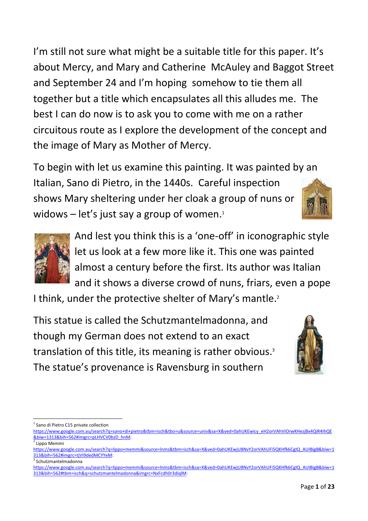I'm still not sure what might be a suitable title for this paper. It's about Mercy, and Mary and Catherine McAuley and Baggot Street and September 24 and I'm hoping somehow to tie them all together but a title which encapsulates all this alludes me. The best I can do now is to ask you to come with me on a rather circuitous route as I explore the development of the concept and the image of Mary as Mother of Mercy.

To begin with let us examine this painting. It was painted by an Italian, Sano di Pietro, in the 1440s. Careful inspection shows Mary sheltering under her cloak a group of nuns or widows  $-$  let's just say a group of women. $1$ 



And lest you think this is a 'one-off' in iconographic style let us look at a few more like it. This one was painted almost a century before the first. Its author was Italian and it shows a diverse crowd of nuns, friars, even a pope

I think, under the protective shelter of Mary's mantle.<sup>2</sup>

This statue is called the Schutzmantelmadonna, and though my German does not extend to an exact translation of this title, its meaning is rather obvious. 3 The statue's provenance is Ravensburg in southern



**.** 

3 Schutzmantelmadonna

<sup>1</sup> Sano di Pietro C15 private collection

[https://www.google.com.au/search?q=sano+di+pietro&tbm=isch&tbo=u&source=univ&sa=X&ved=0ahUKEwicy\\_eH2orVAhVIOrwKHezjBx4QiR4IhQE](https://www.google.com.au/search?q=sano+di+pietro&tbm=isch&tbo=u&source=univ&sa=X&ved=0ahUKEwicy_eH2orVAhVIOrwKHezjBx4QiR4IhQE&biw=1313&bih=562#imgrc=pLHVCV0bzD_hnM) [&biw=1313&bih=562#imgrc=pLHVCV0bzD\\_hnM:](https://www.google.com.au/search?q=sano+di+pietro&tbm=isch&tbo=u&source=univ&sa=X&ved=0ahUKEwicy_eH2orVAhVIOrwKHezjBx4QiR4IhQE&biw=1313&bih=562#imgrc=pLHVCV0bzD_hnM)

<sup>&</sup>lt;sup>2</sup> Lippo Memmi

[https://www.google.com.au/search?q=lippo+memmi&source=lnms&tbm=isch&sa=X&ved=0ahUKEwjU8NvY2orVAhUFi5QKHfk6CgIQ\\_AUIBigB&biw=1](https://www.google.com.au/search?q=lippo+memmi&source=lnms&tbm=isch&sa=X&ved=0ahUKEwjU8NvY2orVAhUFi5QKHfk6CgIQ_AUIBigB&biw=1313&bih=562#imgrc=tjVI9dedMCYYeM) [313&bih=562#imgrc=tjVI9dedMCYYeM:](https://www.google.com.au/search?q=lippo+memmi&source=lnms&tbm=isch&sa=X&ved=0ahUKEwjU8NvY2orVAhUFi5QKHfk6CgIQ_AUIBigB&biw=1313&bih=562#imgrc=tjVI9dedMCYYeM)

[https://www.google.com.au/search?q=lippo+memmi&source=lnms&tbm=isch&sa=X&ved=0ahUKEwjU8NvY2orVAhUFi5QKHfk6CgIQ\\_AUIBigB&biw=1](https://www.google.com.au/search?q=lippo+memmi&source=lnms&tbm=isch&sa=X&ved=0ahUKEwjU8NvY2orVAhUFi5QKHfk6CgIQ_AUIBigB&biw=1313&bih=562#tbm=isch&q=schutzmantelmadonna&imgrc=NxFcdh0r3diqlM) [313&bih=562#tbm=isch&q=schutzmantelmadonna&imgrc=NxFcdh0r3diqlM:](https://www.google.com.au/search?q=lippo+memmi&source=lnms&tbm=isch&sa=X&ved=0ahUKEwjU8NvY2orVAhUFi5QKHfk6CgIQ_AUIBigB&biw=1313&bih=562#tbm=isch&q=schutzmantelmadonna&imgrc=NxFcdh0r3diqlM)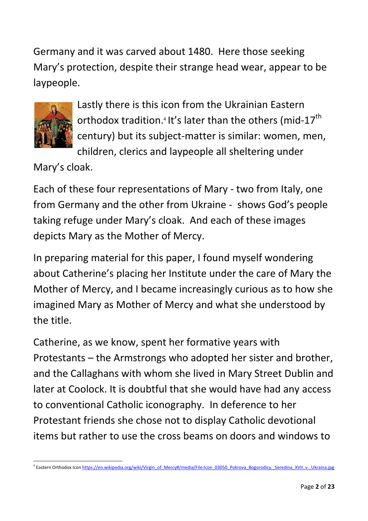Germany and it was carved about 1480. Here those seeking Mary's protection, despite their strange head wear, appear to be laypeople.



Lastly there is this icon from the Ukrainian Eastern orthodox tradition.<sup>4</sup> It's later than the others (mid-17<sup>th</sup> century) but its subject-matter is similar: women, men, children, clerics and laypeople all sheltering under

Mary's cloak.

Each of these four representations of Mary - two from Italy, one from Germany and the other from Ukraine - shows God's people taking refuge under Mary's cloak. And each of these images depicts Mary as the Mother of Mercy.

In preparing material for this paper, I found myself wondering about Catherine's placing her Institute under the care of Mary the Mother of Mercy, and I became increasingly curious as to how she imagined Mary as Mother of Mercy and what she understood by the title.

Catherine, as we know, spent her formative years with Protestants – the Armstrongs who adopted her sister and brother, and the Callaghans with whom she lived in Mary Street Dublin and later at Coolock. It is doubtful that she would have had any access to conventional Catholic iconography. In deference to her Protestant friends she chose not to display Catholic devotional items but rather to use the cross beams on doors and windows to

<sup>1</sup> <sup>4</sup> Eastern Orthodox Ico[n https://en.wikipedia.org/wiki/Virgin\\_of\\_Mercy#/media/File:Icon\\_03050\\_Pokrova\\_Bogorodicy.\\_Seredina\\_XVII\\_v.\\_Ukraina.jpg](https://en.wikipedia.org/wiki/Virgin_of_Mercy#/media/File:Icon_03050_Pokrova_Bogorodicy._Seredina_XVII_v._Ukraina.jpg)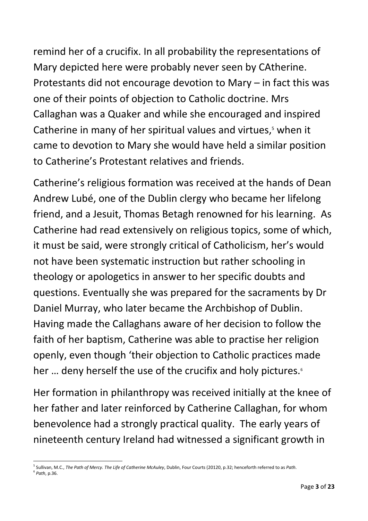remind her of a crucifix. In all probability the representations of Mary depicted here were probably never seen by CAtherine. Protestants did not encourage devotion to Mary – in fact this was one of their points of objection to Catholic doctrine. Mrs Callaghan was a Quaker and while she encouraged and inspired Catherine in many of her spiritual values and virtues, <sup>5</sup> when it came to devotion to Mary she would have held a similar position to Catherine's Protestant relatives and friends.

Catherine's religious formation was received at the hands of Dean Andrew Lubé, one of the Dublin clergy who became her lifelong friend, and a Jesuit, Thomas Betagh renowned for his learning. As Catherine had read extensively on religious topics, some of which, it must be said, were strongly critical of Catholicism, her's would not have been systematic instruction but rather schooling in theology or apologetics in answer to her specific doubts and questions. Eventually she was prepared for the sacraments by Dr Daniel Murray, who later became the Archbishop of Dublin. Having made the Callaghans aware of her decision to follow the faith of her baptism, Catherine was able to practise her religion openly, even though 'their objection to Catholic practices made her ... deny herself the use of the crucifix and holy pictures.<sup>6</sup>

Her formation in philanthropy was received initially at the knee of her father and later reinforced by Catherine Callaghan, for whom benevolence had a strongly practical quality. The early years of nineteenth century Ireland had witnessed a significant growth in

<sup>1</sup> 5 Sullivan, M.C., *The Path of Mercy. The Life of Catherine McAuley*, Dublin, Four Courts (20120, p.32; henceforth referred to as *Path*. 6 *Path*, p.36.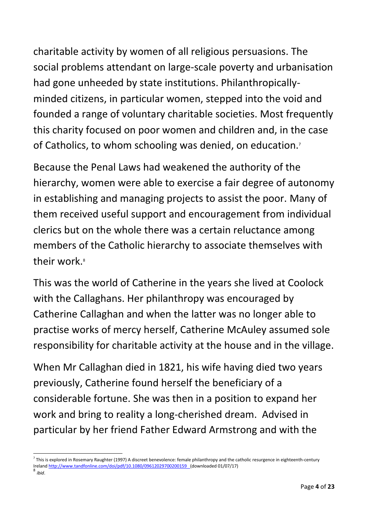charitable activity by women of all religious persuasions. The social problems attendant on large-scale poverty and urbanisation had gone unheeded by state institutions. Philanthropicallyminded citizens, in particular women, stepped into the void and founded a range of voluntary charitable societies. Most frequently this charity focused on poor women and children and, in the case of Catholics, to whom schooling was denied, on education.<sup>7</sup>

Because the Penal Laws had weakened the authority of the hierarchy, women were able to exercise a fair degree of autonomy in establishing and managing projects to assist the poor. Many of them received useful support and encouragement from individual clerics but on the whole there was a certain reluctance among members of the Catholic hierarchy to associate themselves with their work.<sup>8</sup>

This was the world of Catherine in the years she lived at Coolock with the Callaghans. Her philanthropy was encouraged by Catherine Callaghan and when the latter was no longer able to practise works of mercy herself, Catherine McAuley assumed sole responsibility for charitable activity at the house and in the village.

When Mr Callaghan died in 1821, his wife having died two years previously, Catherine found herself the beneficiary of a considerable fortune. She was then in a position to expand her work and bring to reality a long-cherished dream. Advised in particular by her friend Father Edward Armstrong and with the

 $\overline{a}$ 

<sup>7</sup> This is explored in Rosemary Raughter (1997) A discreet benevolence: female philanthropy and the catholic resurgence in eighteenth-century Irelan[d http://www.tandfonline.com/doi/pdf/10.1080/09612029700200159](http://www.tandfonline.com/doi/pdf/10.1080/09612029700200159) (downloaded 01/07/17)

<sup>8</sup> *ibid*.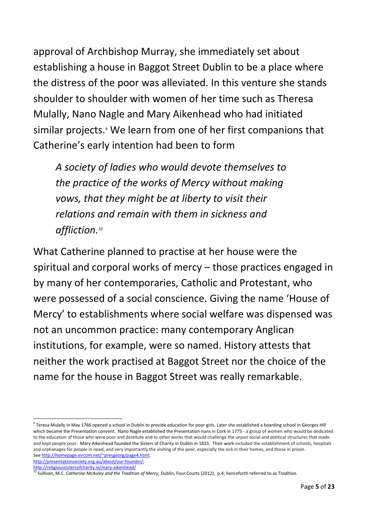approval of Archbishop Murray, she immediately set about establishing a house in Baggot Street Dublin to be a place where the distress of the poor was alleviated. In this venture she stands shoulder to shoulder with women of her time such as Theresa Mulally, Nano Nagle and Mary Aikenhead who had initiated similar projects.<sup>9</sup> We learn from one of her first companions that Catherine's early intention had been to form

*A society of ladies who would devote themselves to the practice of the works of Mercy without making vows, that they might be at liberty to visit their relations and remain with them in sickness and affliction. 10*

What Catherine planned to practise at her house were the spiritual and corporal works of mercy – those practices engaged in by many of her contemporaries, Catholic and Protestant, who were possessed of a social conscience. Giving the name 'House of Mercy' to establishments where social welfare was dispensed was not an uncommon practice: many contemporary Anglican institutions, for example, were so named. History attests that neither the work practised at Baggot Street nor the choice of the name for the house in Baggot Street was really remarkable.

**.** 

 $^9$  Teresa Mulally in May 1766 opened a school in Dublin to provide education for poor girls. Later she established a boarding school in Georges Hill which became the Presentation convent. Nano Nagle established the Presentation nuns in Cork in 1775 - a group of women who would be dedicated to the education of those who were poor and destitute and to other works that would challenge the unjust social and political structures that made and kept people poor. Mary Aikenhead founded the Sisters of Charity in Dublin in 1815. Their work included the establishment of schools, hospitals and orphanages for people in need, and very importantly the visiting of the poor, especially the sick in their homes, and those in prison. Se[e http://homepage.eircom.net/~presgeorg/page4.html;](http://homepage.eircom.net/~presgeorg/page4.html) 

[http://presentationsociety.org.au/about/our-founder/;](http://presentationsociety.org.au/about/our-founder/) 

<http://religioussistersofcharity.ie/mary-aikenhead/>

<sup>&</sup>lt;sup>10</sup> Sullivan, M.C. *Catherine McAuley and the Tradition of Mercy, Dublin, Four Courts (2012), p.4; henceforth referred to as <i>Tradition*.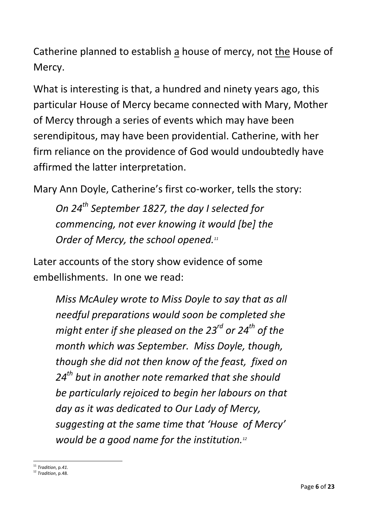Catherine planned to establish a house of mercy, not the House of Mercy.

What is interesting is that, a hundred and ninety years ago, this particular House of Mercy became connected with Mary, Mother of Mercy through a series of events which may have been serendipitous, may have been providential. Catherine, with her firm reliance on the providence of God would undoubtedly have affirmed the latter interpretation.

Mary Ann Doyle, Catherine's first co-worker, tells the story:

*On 24th September 1827, the day I selected for commencing, not ever knowing it would [be] the Order of Mercy, the school opened.<sup>11</sup>*

Later accounts of the story show evidence of some embellishments. In one we read:

*Miss McAuley wrote to Miss Doyle to say that as all needful preparations would soon be completed she might enter if she pleased on the 23rd or 24th of the month which was September. Miss Doyle, though, though she did not then know of the feast, fixed on 24th but in another note remarked that she should be particularly rejoiced to begin her labours on that day as it was dedicated to Our Lady of Mercy, suggesting at the same time that 'House of Mercy' would be a good name for the institution.<sup>12</sup>*

1

<sup>11</sup> *Tradition*, p*.41.*

<sup>12</sup> *Tradition*, p.48.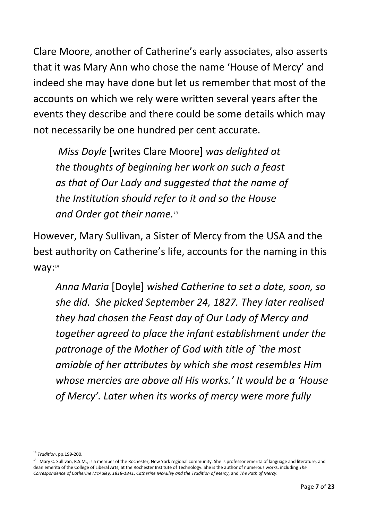Clare Moore, another of Catherine's early associates, also asserts that it was Mary Ann who chose the name 'House of Mercy' and indeed she may have done but let us remember that most of the accounts on which we rely were written several years after the events they describe and there could be some details which may not necessarily be one hundred per cent accurate.

*Miss Doyle* [writes Clare Moore] *was delighted at the thoughts of beginning her work on such a feast as that of Our Lady and suggested that the name of the Institution should refer to it and so the House and Order got their name. 13*

However, Mary Sullivan, a Sister of Mercy from the USA and the best authority on Catherine's life, accounts for the naming in this way:14

*Anna Maria* [Doyle] *wished Catherine to set a date, soon, so she did. She picked September 24, 1827. They later realised they had chosen the Feast day of Our Lady of Mercy and together agreed to place the infant establishment under the patronage of the Mother of God with title of `the most amiable of her attributes by which she most resembles Him whose mercies are above all His works.' It would be a 'House of Mercy'. Later when its works of mercy were more fully* 

 $\overline{a}$ <sup>13</sup> *Tradition*, pp.199-200.

<sup>&</sup>lt;sup>14</sup> Mary C. Sullivan, R.S.M., is a member of the Rochester, New York regional community. She is professor emerita of language and literature, and dean emerita of the College of Liberal Arts, at the Rochester Institute of Technology. She is the author of numerous works, including *The Correspondence of Catherine McAuley, 1818-1841*, *Catherine McAuley and the Tradition of Mercy,* and *The Path of Mercy*.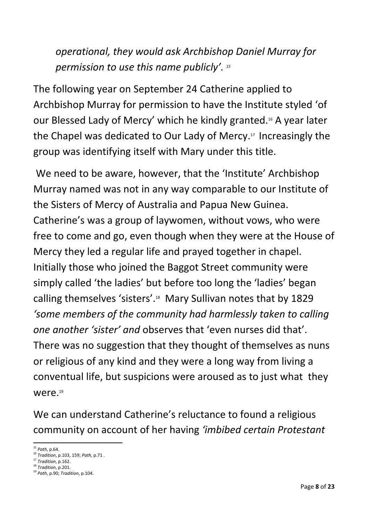*operational, they would ask Archbishop Daniel Murray for permission to use this name publicly'. 15*

The following year on September 24 Catherine applied to Archbishop Murray for permission to have the Institute styled 'of our Blessed Lady of Mercy' which he kindly granted.<sup>16</sup> A year later the Chapel was dedicated to Our Lady of Mercy. <sup>17</sup> Increasingly the group was identifying itself with Mary under this title.

We need to be aware, however, that the 'Institute' Archbishop Murray named was not in any way comparable to our Institute of the Sisters of Mercy of Australia and Papua New Guinea. Catherine's was a group of laywomen, without vows, who were free to come and go, even though when they were at the House of Mercy they led a regular life and prayed together in chapel. Initially those who joined the Baggot Street community were simply called 'the ladies' but before too long the 'ladies' began calling themselves 'sisters'.<sup>18</sup> Mary Sullivan notes that by 1829 *'some members of the community had harmlessly taken to calling one another 'sister' and* observes that 'even nurses did that'. There was no suggestion that they thought of themselves as nuns or religious of any kind and they were a long way from living a conventual life, but suspicions were aroused as to just what they were. 19

We can understand Catherine's reluctance to found a religious community on account of her having *'imbibed certain Protestant* 

**<sup>.</sup>** <sup>15</sup> *Path*, p.64.

<sup>16</sup> *Tradition*, p.103, 159; *Path*, p.71 .

<sup>17</sup> *Tradition*, p.162.

<sup>18</sup> *Tradition*, p.201.

<sup>19</sup> *Path*, p.90; *Tradition*, p.104.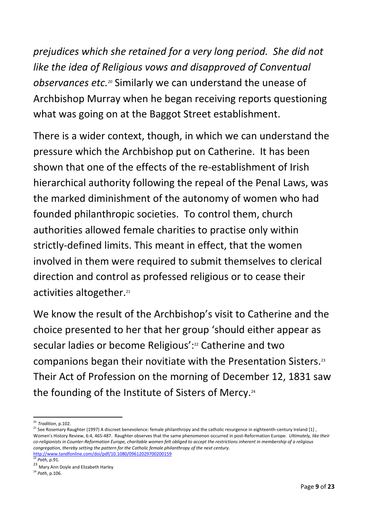*prejudices which she retained for a very long period. She did not like the idea of Religious vows and disapproved of Conventual observances etc. <sup>20</sup>* Similarly we can understand the unease of Archbishop Murray when he began receiving reports questioning what was going on at the Baggot Street establishment.

There is a wider context, though, in which we can understand the pressure which the Archbishop put on Catherine. It has been shown that one of the effects of the re-establishment of Irish hierarchical authority following the repeal of the Penal Laws, was the marked diminishment of the autonomy of women who had founded philanthropic societies. To control them, church authorities allowed female charities to practise only within strictly-defined limits. This meant in effect, that the women involved in them were required to submit themselves to clerical direction and control as professed religious or to cease their activities altogether.<sup>21</sup>

We know the result of the Archbishop's visit to Catherine and the choice presented to her that her group 'should either appear as secular ladies or become Religious': <sup>22</sup> Catherine and two companions began their novitiate with the Presentation Sisters.<sup>23</sup> Their Act of Profession on the morning of December 12, 1831 saw the founding of the Institute of Sisters of Mercy.<sup>24</sup>

<sup>1</sup> <sup>20</sup> *Tradition*, p.102.

<sup>21</sup> See Rosemary Raughter (1997) A discreet benevolence: female philanthropy and the catholic resurgence in eighteenth-century Ireland [1] , Women's History Review, 6:4, 465-487. Raughter observes that the same phenomenon occurred in post-Reformation Europe. *Ultimately, like their co-religionists in Counter-Reformation Europe, charitable women felt obliged to accept the restrictions inherent in membership of a religious congregation, thereby setting the pattern for the Catholic female philanthropy of the next century.*  <http://www.tandfonline.com/doi/pdf/10.1080/09612029700200159>

<sup>22</sup> *Path*, p.91.

<sup>23</sup> Mary Ann Doyle and Elizabeth Harley

<sup>24</sup> *Path*, p.106.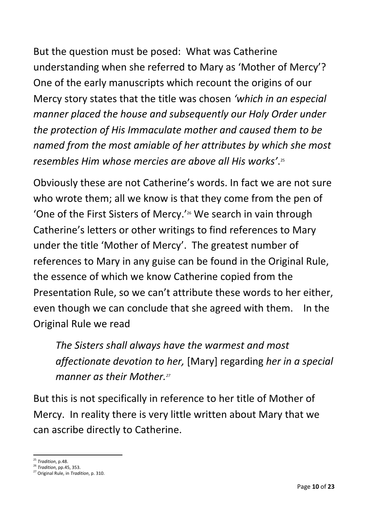But the question must be posed: What was Catherine understanding when she referred to Mary as 'Mother of Mercy'? One of the early manuscripts which recount the origins of our Mercy story states that the title was chosen *'which in an especial manner placed the house and subsequently our Holy Order under the protection of His Immaculate mother and caused them to be named from the most amiable of her attributes by which she most resembles Him whose mercies are above all His works'*. 25

Obviously these are not Catherine's words. In fact we are not sure who wrote them; all we know is that they come from the pen of 'One of the First Sisters of Mercy.' <sup>26</sup> We search in vain through Catherine's letters or other writings to find references to Mary under the title 'Mother of Mercy'. The greatest number of references to Mary in any guise can be found in the Original Rule, the essence of which we know Catherine copied from the Presentation Rule, so we can't attribute these words to her either, even though we can conclude that she agreed with them. In the Original Rule we read

*The Sisters shall always have the warmest and most affectionate devotion to her,* [Mary] regarding *her in a special manner as their Mother.<sup>27</sup>*

But this is not specifically in reference to her title of Mother of Mercy. In reality there is very little written about Mary that we can ascribe directly to Catherine.

<sup>1</sup> <sup>25</sup> *Tradition*, p.48.

<sup>26</sup> *Tradition*, pp.45, 353.

<sup>27</sup> Original Rule, in *Tradition*, p. 310.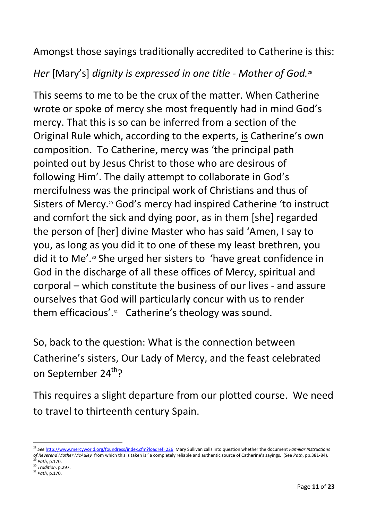Amongst those sayings traditionally accredited to Catherine is this:

*Her* [Mary's] *dignity is expressed in one title - Mother of God.<sup>28</sup>*

This seems to me to be the crux of the matter. When Catherine wrote or spoke of mercy she most frequently had in mind God's mercy. That this is so can be inferred from a section of the Original Rule which, according to the experts, is Catherine's own composition. To Catherine, mercy was 'the principal path pointed out by Jesus Christ to those who are desirous of following Him'. The daily attempt to collaborate in God's mercifulness was the principal work of Christians and thus of Sisters of Mercy.<sup>29</sup> God's mercy had inspired Catherine 'to instruct and comfort the sick and dying poor, as in them [she] regarded the person of [her] divine Master who has said 'Amen, I say to you, as long as you did it to one of these my least brethren, you did it to Me'. <sup>30</sup> She urged her sisters to 'have great confidence in God in the discharge of all these offices of Mercy, spiritual and corporal – which constitute the business of our lives - and assure ourselves that God will particularly concur with us to render them efficacious'.<sup>31</sup> Catherine's theology was sound.

So, back to the question: What is the connection between Catherine's sisters, Our Lady of Mercy, and the feast celebrated on September 24<sup>th</sup>?

This requires a slight departure from our plotted course. We need to travel to thirteenth century Spain.

**.** 

<sup>28</sup> *See* <http://www.mercyworld.org/foundress/index.cfm?loadref=226>Mary Sullivan calls into question whether the document *Familiar Instructions of Reverend Mother McAuley* from which this is taken is ' a completely reliable and authentic source of Catherine's sayings. (See *Path*, pp.381-84).

<sup>29</sup> *Path*, p.170.

<sup>30</sup> *Tradition*, p.297. <sup>31</sup> *Path*, p.170.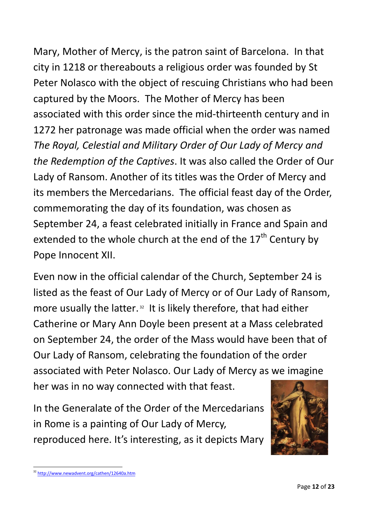Mary, Mother of Mercy, is the patron saint of Barcelona. In that city in 1218 or thereabouts a religious order was founded by St Peter Nolasco with the object of rescuing Christians who had been captured by the Moors. The Mother of Mercy has been associated with this order since the mid-thirteenth century and in 1272 her patronage was made official when the order was named *The Royal, Celestial and Military Order of Our Lady of Mercy and the Redemption of the Captives*. It was also called the Order of Our Lady of Ransom. Another of its titles was the Order of Mercy and its members the Mercedarians. The official feast day of the Order, commemorating the day of its foundation, was chosen as September 24, a feast celebrated initially in France and Spain and extended to the whole church at the end of the  $17<sup>th</sup>$  Century by Pope Innocent XII.

Even now in the official calendar of the Church, September 24 is listed as the feast of Our Lady of Mercy or of Our Lady of Ransom, more usually the latter.<sup>32</sup> It is likely therefore, that had either Catherine or Mary Ann Doyle been present at a Mass celebrated on September 24, the order of the Mass would have been that of Our Lady of Ransom, celebrating the foundation of the order associated with Peter Nolasco. Our Lady of Mercy as we imagine her was in no way connected with that feast.

In the Generalate of the Order of the Mercedarians in Rome is a painting of Our Lady of Mercy, reproduced here. It's interesting, as it depicts Mary



 $\overline{a}$ <sup>32</sup> <http://www.newadvent.org/cathen/12640a.htm>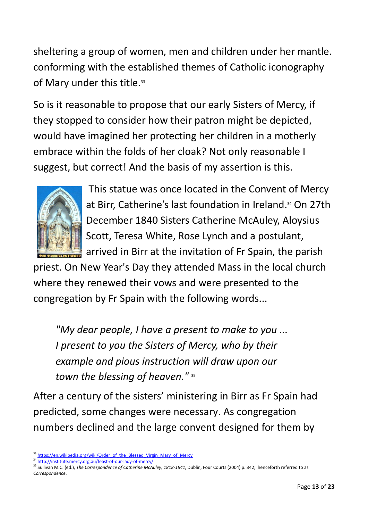sheltering a group of women, men and children under her mantle. conforming with the established themes of Catholic iconography of Mary under this title.<sup>33</sup>

So is it reasonable to propose that our early Sisters of Mercy, if they stopped to consider how their patron might be depicted, would have imagined her protecting her children in a motherly embrace within the folds of her cloak? Not only reasonable I suggest, but correct! And the basis of my assertion is this.



This statue was once located in the Convent of Mercy at Birr, Catherine's last foundation in Ireland. <sup>34</sup> On 27th December 1840 Sisters Catherine McAuley, Aloysius Scott, Teresa White, Rose Lynch and a postulant, arrived in Birr at the invitation of Fr Spain, the parish

priest. On New Year's Day they attended Mass in the local church where they renewed their vows and were presented to the congregation by Fr Spain with the following words...

*"My dear people, I have a present to make to you ... I present to you the Sisters of Mercy, who by their example and pious instruction will draw upon our*  town the blessing of heaven."<sup>35</sup>

After a century of the sisters' ministering in Birr as Fr Spain had predicted, some changes were necessary. As congregation numbers declined and the large convent designed for them by

**.** 

<sup>&</sup>lt;sup>3</sup> [https://en.wikipedia.org/wiki/Order\\_of\\_the\\_Blessed\\_Virgin\\_Mary\\_of\\_Mercy](https://en.wikipedia.org/wiki/Order_of_the_Blessed_Virgin_Mary_of_Mercy)

<sup>34</sup> <http://institute.mercy.org.au/feast-of-our-lady-of-mercy/>

<sup>&</sup>lt;sup>35</sup> Sullivan M.C. (ed.), *The Correspondence of Catherine McAuley, 1818-1841*, Dublin, Four Courts (2004) p. 342; henceforth referred to as *Correspondence*.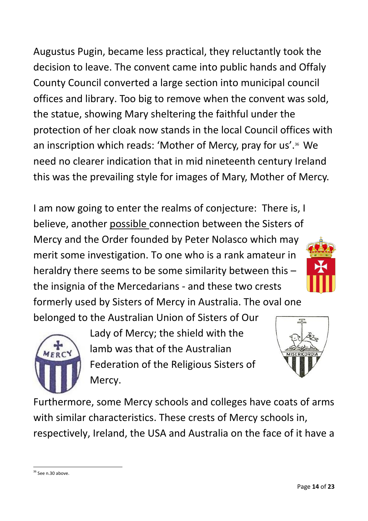Augustus Pugin, became less practical, they reluctantly took the decision to leave. The convent came into public hands and Offaly County Council converted a large section into municipal council offices and library. Too big to remove when the convent was sold, the statue, showing Mary sheltering the faithful under the protection of her cloak now stands in the local Council offices with an inscription which reads: 'Mother of Mercy, pray for us'. <sup>36</sup> We need no clearer indication that in mid nineteenth century Ireland this was the prevailing style for images of Mary, Mother of Mercy.

I am now going to enter the realms of conjecture: There is, I believe, another possible connection between the Sisters of Mercy and the Order founded by Peter Nolasco which may merit some investigation. To one who is a rank amateur in heraldry there seems to be some similarity between this – the insignia of the Mercedarians - and these two crests formerly used by Sisters of Mercy in Australia. The oval one

belonged to the Australian Union of Sisters of Our



Lady of Mercy; the shield with the lamb was that of the Australian Federation of the Religious Sisters of Mercy.





Furthermore, some Mercy schools and colleges have coats of arms with similar characteristics. These crests of Mercy schools in, respectively, Ireland, the USA and Australia on the face of it have a

 $\overline{a}$  $36$  See n.30 above.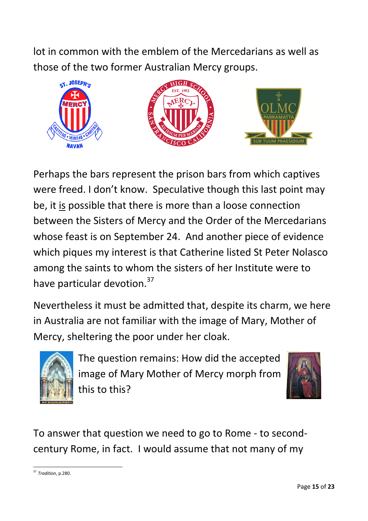lot in common with the emblem of the Mercedarians as well as those of the two former Australian Mercy groups.



Perhaps the bars represent the prison bars from which captives were freed. I don't know. Speculative though this last point may be, it is possible that there is more than a loose connection between the Sisters of Mercy and the Order of the Mercedarians whose feast is on September 24. And another piece of evidence which piques my interest is that Catherine listed St Peter Nolasco among the saints to whom the sisters of her Institute were to have particular devotion.<sup>37</sup>

Nevertheless it must be admitted that, despite its charm, we here in Australia are not familiar with the image of Mary, Mother of Mercy, sheltering the poor under her cloak.



The question remains: How did the accepted image of Mary Mother of Mercy morph from this to this?



To answer that question we need to go to Rome - to secondcentury Rome, in fact. I would assume that not many of my

 $\overline{a}$ <sup>37</sup> *Tradition*, p.280.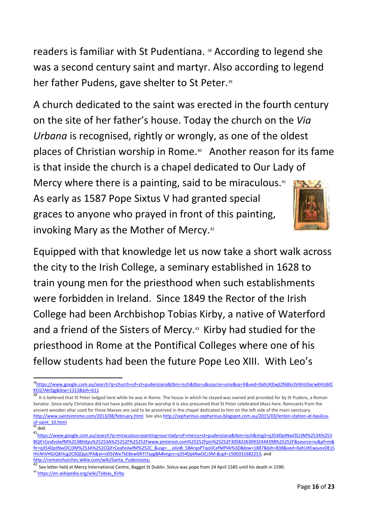readers is familiar with St Pudentiana. <sup>38</sup> According to legend she was a second century saint and martyr. Also according to legend her father Pudens, gave shelter to St Peter.<sup>39</sup>

A church dedicated to the saint was erected in the fourth century on the site of her father's house. Today the church on the *Via Urbana* is recognised, rightly or wrongly, as one of the oldest places of Christian worship in Rome.<sup>40</sup> Another reason for its fame is that inside the church is a chapel dedicated to Our Lady of Mercy where there is a painting, said to be miraculous.<sup>41</sup> As early as 1587 Pope Sixtus V had granted special graces to anyone who prayed in front of this painting, invoking Mary as the Mother of Mercy.<sup>42</sup>

Equipped with that knowledge let us now take a short walk across the city to the Irish College, a seminary established in 1628 to train young men for the priesthood when such establishments were forbidden in Ireland. Since 1849 the Rector of the Irish College had been Archbishop Tobias Kirby, a native of Waterford and a friend of the Sisters of Mercy. <sup>43</sup> Kirby had studied for the priesthood in Rome at the Pontifical Colleges where one of his fellow students had been the future Pope Leo XIII. With Leo's

**<sup>.</sup>** <sup>38</sup>[https://www.google.com.au/search?q=church+of+st+pudenziana&tbm=isch&tbo=u&source=univ&sa=X&ved=0ahUKEwjl2f68lo3VAhUGxrwKHU6tC](https://www.google.com.au/search?q=church+of+st+pudenziana&tbm=isch&tbo=u&source=univ&sa=X&ved=0ahUKEwjl2f68lo3VAhUGxrwKHU6tCKEQ7AkIQg&biw=1313&bih=611) [KEQ7AkIQg&biw=1313&bih=611](https://www.google.com.au/search?q=church+of+st+pudenziana&tbm=isch&tbo=u&source=univ&sa=X&ved=0ahUKEwjl2f68lo3VAhUGxrwKHU6tCKEQ7AkIQg&biw=1313&bih=611)

<sup>&</sup>lt;sup>39</sup> It is believed that St Peter lodged here while he was in Rome. The house in which he stayed was owned and provided for by St Pudens, a Roman Senator. Since early Christians did not have public places for worship it is also presumed that St Peter celebrated Mass here. Remnants from the ancient wooden altar used for these Masses are said to be preserved in the chapel dedicated to him on the left side of the main sanctuary. <http://www.saintsinrome.com/2013/08/february.html>See als[o http://zephyrinus-zephyrinus.blogspot.com.au/2015/03/lenten-station-at-basilica](http://zephyrinus-zephyrinus.blogspot.com.au/2015/03/lenten-station-at-basilica-of-saint_10.html)[of-saint\\_10.html](http://zephyrinus-zephyrinus.blogspot.com.au/2015/03/lenten-station-at-basilica-of-saint_10.html) 

<sup>40</sup> *ibid*.

<sup>41</sup>[https://www.google.com.au/search?q=miraculous+painting+our+lady+of+mercy+st+pudenziana&tbm=isch&imgil=q354DptNwOCJ3M%253A%253](https://www.google.com.au/search?q=miraculous+painting+our+lady+of+mercy+st+pudenziana&tbm=isch&imgil=q354DptNwOCJ3M%253A%253BQiFrCeafvslwfM%253Bhttps%25253A%25252F%25252Fwww.pinterest.com%25252Fpin%25252F305822630932444398%25252F&source=iu&pf=m&fir=q354DptNwOCJ3M%253A%252CQiFrCeafvslwfM%252C_&usg=__xiIioB_5B4rqoPTqoIJCefMPlAI%3D&biw=1887&bih=838&ved=0ahUKEwjuovOEs5HVAhVHGJQKHcg2C0QQyjcIPA&ei=nD5tWe7kE8ew0ATI7aygBA#imgrc=q354DptNwOCJ3M:&spf=1500331682253) [BQiFrCeafvslwfM%253Bhttps%25253A%25252F%25252Fwww.pinterest.com%25252Fpin%25252F305822630932444398%25252F&source=iu&pf=m&](https://www.google.com.au/search?q=miraculous+painting+our+lady+of+mercy+st+pudenziana&tbm=isch&imgil=q354DptNwOCJ3M%253A%253BQiFrCeafvslwfM%253Bhttps%25253A%25252F%25252Fwww.pinterest.com%25252Fpin%25252F305822630932444398%25252F&source=iu&pf=m&fir=q354DptNwOCJ3M%253A%252CQiFrCeafvslwfM%252C_&usg=__xiIioB_5B4rqoPTqoIJCefMPlAI%3D&biw=1887&bih=838&ved=0ahUKEwjuovOEs5HVAhVHGJQKHcg2C0QQyjcIPA&ei=nD5tWe7kE8ew0ATI7aygBA#imgrc=q354DptNwOCJ3M:&spf=1500331682253) [fir=q354DptNwOCJ3M%253A%252CQiFrCeafvslwfM%252C\\_&usg=\\_\\_xiIioB\\_5B4rqoPTqoIJCefMPlAI%3D&biw=1887&bih=838&ved=0ahUKEwjuovOEs5](https://www.google.com.au/search?q=miraculous+painting+our+lady+of+mercy+st+pudenziana&tbm=isch&imgil=q354DptNwOCJ3M%253A%253BQiFrCeafvslwfM%253Bhttps%25253A%25252F%25252Fwww.pinterest.com%25252Fpin%25252F305822630932444398%25252F&source=iu&pf=m&fir=q354DptNwOCJ3M%253A%252CQiFrCeafvslwfM%252C_&usg=__xiIioB_5B4rqoPTqoIJCefMPlAI%3D&biw=1887&bih=838&ved=0ahUKEwjuovOEs5HVAhVHGJQKHcg2C0QQyjcIPA&ei=nD5tWe7kE8ew0ATI7aygBA#imgrc=q354DptNwOCJ3M:&spf=1500331682253) [HVAhVHGJQKHcg2C0QQyjcIPA&ei=nD5tWe7kE8ew0ATI7aygBA#imgrc=q354DptNwOCJ3M:&spf=1500331682253;](https://www.google.com.au/search?q=miraculous+painting+our+lady+of+mercy+st+pudenziana&tbm=isch&imgil=q354DptNwOCJ3M%253A%253BQiFrCeafvslwfM%253Bhttps%25253A%25252F%25252Fwww.pinterest.com%25252Fpin%25252F305822630932444398%25252F&source=iu&pf=m&fir=q354DptNwOCJ3M%253A%252CQiFrCeafvslwfM%252C_&usg=__xiIioB_5B4rqoPTqoIJCefMPlAI%3D&biw=1887&bih=838&ved=0ahUKEwjuovOEs5HVAhVHGJQKHcg2C0QQyjcIPA&ei=nD5tWe7kE8ew0ATI7aygBA#imgrc=q354DptNwOCJ3M:&spf=1500331682253) and [http://romanchurches.wikia.com/wiki/Santa\\_Pudenziana;](http://romanchurches.wikia.com/wiki/Santa_Pudenziana)

<sup>&</sup>lt;sup>42</sup> See letter held at Mercy International Centre, Baggot St Dublin. Sixtus was pope from 24 April 1585 until his death in 1590.

<sup>43</sup> [https://en.wikipedia.org/wiki/Tobias\\_Kirby](https://en.wikipedia.org/wiki/Tobias_Kirby)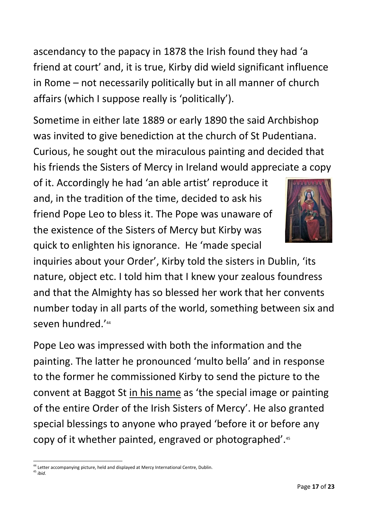ascendancy to the papacy in 1878 the Irish found they had 'a friend at court' and, it is true, Kirby did wield significant influence in Rome – not necessarily politically but in all manner of church affairs (which I suppose really is 'politically').

Sometime in either late 1889 or early 1890 the said Archbishop was invited to give benediction at the church of St Pudentiana. Curious, he sought out the miraculous painting and decided that his friends the Sisters of Mercy in Ireland would appreciate a copy

of it. Accordingly he had 'an able artist' reproduce it and, in the tradition of the time, decided to ask his friend Pope Leo to bless it. The Pope was unaware of the existence of the Sisters of Mercy but Kirby was quick to enlighten his ignorance. He 'made special



inquiries about your Order', Kirby told the sisters in Dublin, 'its nature, object etc. I told him that I knew your zealous foundress and that the Almighty has so blessed her work that her convents number today in all parts of the world, something between six and seven hundred.' 44

Pope Leo was impressed with both the information and the painting. The latter he pronounced 'multo bella' and in response to the former he commissioned Kirby to send the picture to the convent at Baggot St in his name as 'the special image or painting of the entire Order of the Irish Sisters of Mercy'. He also granted special blessings to anyone who prayed 'before it or before any copy of it whether painted, engraved or photographed'.<sup>45</sup>

<sup>45</sup> *ibid*.

1

<sup>&</sup>lt;sup>44</sup> Letter accompanying picture, held and displayed at Mercy International Centre, Dublin.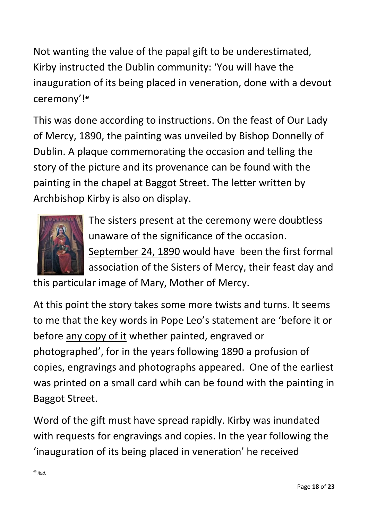Not wanting the value of the papal gift to be underestimated, Kirby instructed the Dublin community: 'You will have the inauguration of its being placed in veneration, done with a devout ceremony'! 46

This was done according to instructions. On the feast of Our Lady of Mercy, 1890, the painting was unveiled by Bishop Donnelly of Dublin. A plaque commemorating the occasion and telling the story of the picture and its provenance can be found with the painting in the chapel at Baggot Street. The letter written by Archbishop Kirby is also on display.



The sisters present at the ceremony were doubtless unaware of the significance of the occasion. September 24, 1890 would have been the first formal association of the Sisters of Mercy, their feast day and

this particular image of Mary, Mother of Mercy.

At this point the story takes some more twists and turns. It seems to me that the key words in Pope Leo's statement are 'before it or before any copy of it whether painted, engraved or photographed', for in the years following 1890 a profusion of copies, engravings and photographs appeared. One of the earliest was printed on a small card whih can be found with the painting in Baggot Street.

Word of the gift must have spread rapidly. Kirby was inundated with requests for engravings and copies. In the year following the 'inauguration of its being placed in veneration' he received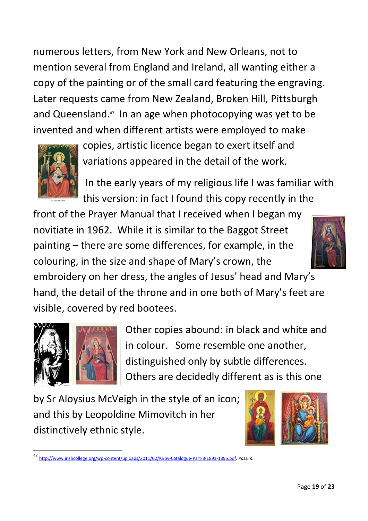numerous letters, from New York and New Orleans, not to mention several from England and Ireland, all wanting either a copy of the painting or of the small card featuring the engraving. Later requests came from New Zealand, Broken Hill, Pittsburgh and Queensland. 47 In an age when photocopying was yet to be invented and when different artists were employed to make



copies, artistic licence began to exert itself and variations appeared in the detail of the work.

In the early years of my religious life I was familiar with this version: in fact I found this copy recently in the

front of the Prayer Manual that I received when I began my novitiate in 1962. While it is similar to the Baggot Street painting – there are some differences, for example, in the colouring, in the size and shape of Mary's crown, the embroidery on her dress, the angles of Jesus' head and Mary's hand, the detail of the throne and in one both of Mary's feet are visible, covered by red bootees.



 $\overline{a}$ 

Other copies abound: in black and white and in colour. Some resemble one another, distinguished only by subtle differences. Others are decidedly different as is this one

by Sr Aloysius McVeigh in the style of an icon; and this by Leopoldine Mimovitch in her distinctively ethnic style.



<sup>47</sup> [http://www.irishcollege.org/wp-content/uploads/2011/02/Kirby-Catalogue-Part-8-1891-1895.pdf.](http://www.irishcollege.org/wp-content/uploads/2011/02/Kirby-Catalogue-Part-8-1891-1895.pdf) *Passim.*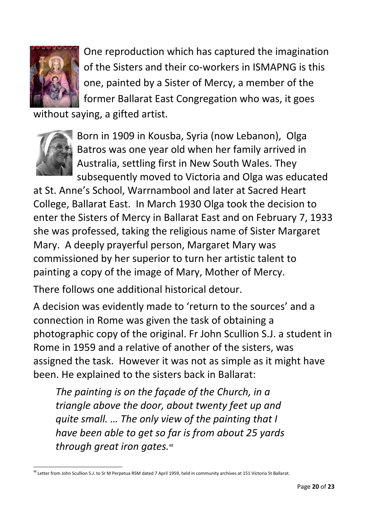

One reproduction which has captured the imagination of the Sisters and their co-workers in ISMAPNG is this one, painted by a Sister of Mercy, a member of the former Ballarat East Congregation who was, it goes

without saying, a gifted artist.



Born in 1909 in Kousba, Syria (now Lebanon), Olga Batros was one year old when her family arrived in Australia, settling first in New South Wales. They subsequently moved to Victoria and Olga was educated

at St. Anne's School, Warrnambool and later at Sacred Heart College, Ballarat East. In March 1930 Olga took the decision to enter the Sisters of Mercy in Ballarat East and on February 7, 1933 she was professed, taking the religious name of Sister Margaret Mary. A deeply prayerful person, Margaret Mary was commissioned by her superior to turn her artistic talent to painting a copy of the image of Mary, Mother of Mercy.

There follows one additional historical detour.

A decision was evidently made to 'return to the sources' and a connection in Rome was given the task of obtaining a photographic copy of the original. Fr John Scullion S.J. a student in Rome in 1959 and a relative of another of the sisters, was assigned the task. However it was not as simple as it might have been. He explained to the sisters back in Ballarat:

*The painting is on the façade of the Church, in a triangle above the door, about twenty feet up and quite small. … The only view of the painting that I have been able to get so far is from about 25 yards through great iron gates.* 48

 $\overline{a}$ <sup>48</sup> Letter from John Scullion S.J. to Sr M Perpetua RSM dated 7 April 1959, held in community archives at 151 Victoria St Ballarat.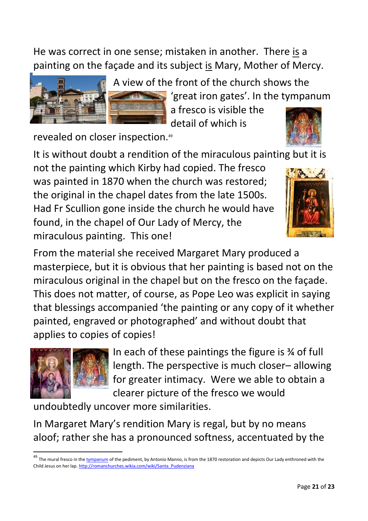He was correct in one sense; mistaken in another. There is a painting on the façade and its subject is Mary, Mother of Mercy.



A view of the front of the church shows the 'great iron gates'. In the tympanum

> a fresco is visible the detail of which is

revealed on closer inspection.<sup>49</sup>

It is without doubt a rendition of the miraculous painting but it is

not the painting which Kirby had copied. The fresco was painted in 1870 when the church was restored; the original in the chapel dates from the late 1500s. Had Fr Scullion gone inside the church he would have found, in the chapel of Our Lady of Mercy, the miraculous painting. This one!



From the material she received Margaret Mary produced a masterpiece, but it is obvious that her painting is based not on the miraculous original in the chapel but on the fresco on the façade. This does not matter, of course, as Pope Leo was explicit in saying that blessings accompanied 'the painting or any copy of it whether painted, engraved or photographed' and without doubt that applies to copies of copies!



1

In each of these paintings the figure is ¾ of full length. The perspective is much closer– allowing for greater intimacy. Were we able to obtain a clearer picture of the fresco we would

undoubtedly uncover more similarities.

In Margaret Mary's rendition Mary is regal, but by no means aloof; rather she has a pronounced softness, accentuated by the

<sup>&</sup>lt;sup>49</sup> The mural fresco in the tow panum of the pediment, by Antonio Manno, is from the 1870 restoration and depicts Our Lady enthroned with the Child Jesus on her lap. [http://romanchurches.wikia.com/wiki/Santa\\_Pudenziana](http://romanchurches.wikia.com/wiki/Santa_Pudenziana)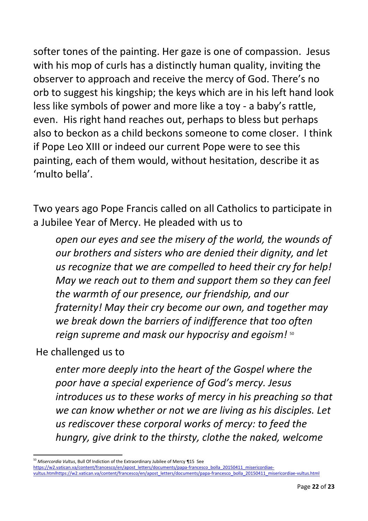softer tones of the painting. Her gaze is one of compassion. Jesus with his mop of curls has a distinctly human quality, inviting the observer to approach and receive the mercy of God. There's no orb to suggest his kingship; the keys which are in his left hand look less like symbols of power and more like a toy - a baby's rattle, even. His right hand reaches out, perhaps to bless but perhaps also to beckon as a child beckons someone to come closer. I think if Pope Leo XIII or indeed our current Pope were to see this painting, each of them would, without hesitation, describe it as 'multo bella'.

Two years ago Pope Francis called on all Catholics to participate in a Jubilee Year of Mercy. He pleaded with us to

*open our eyes and see the misery of the world, the wounds of our brothers and sisters who are denied their dignity, and let us recognize that we are compelled to heed their cry for help! May we reach out to them and support them so they can feel the warmth of our presence, our friendship, and our fraternity! May their cry become our own, and together may we break down the barriers of indifference that too often reign supreme and mask our hypocrisy and egoism!* <sup>50</sup>

He challenged us to

1

*enter more deeply into the heart of the Gospel where the poor have a special experience of God's mercy. Jesus introduces us to these works of mercy in his preaching so that we can know whether or not we are living as his disciples. Let us rediscover these corporal works of mercy: to feed the hungry, give drink to the thirsty, clothe the naked, welcome* 

<sup>50</sup> *Misercordia Vultus*, Bull Of Indiction of the Extraordinary Jubilee of Mercy ¶15 See [https://w2.vatican.va/content/francesco/en/apost\\_letters/documents/papa-francesco\\_bolla\\_20150411\\_misericordiae](https://w2.vatican.va/content/francesco/en/apost_letters/documents/papa-francesco_bolla_20150411_misericordiae-vultus.htmlhttps:/w2.vatican.va/content/francesco/en/apost_letters/documents/papa-francesco_bolla_20150411_misericordiae-vultus.html)[vultus.htmlhttps://w2.vatican.va/content/francesco/en/apost\\_letters/documents/papa-francesco\\_bolla\\_20150411\\_misericordiae-vultus.html](https://w2.vatican.va/content/francesco/en/apost_letters/documents/papa-francesco_bolla_20150411_misericordiae-vultus.htmlhttps:/w2.vatican.va/content/francesco/en/apost_letters/documents/papa-francesco_bolla_20150411_misericordiae-vultus.html)